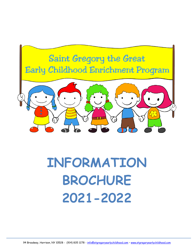

# **INFORMATION BROCHURE 2021-2022**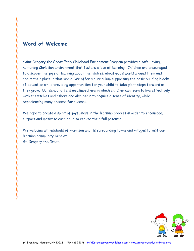# **Word of Welcome**

Saint Gregory the Great Early Childhood Enrichment Program provides a safe, loving, nurturing Christian environment that fosters a love of learning. Children are encouraged to discover the joys of learning about themselves, about God's world around them and about their place in that world. We offer a curriculum supporting the basic building blocks of education while providing opportunities for your child to take giant steps forward as they grow. Our school offers an atmosphere in which children can learn to live effectively with themselves and others and also begin to acquire a sense of identity, while experiencing many chances for success.

We hope to create a spirit of joyfulness in the learning process in order to encourage, support and motivate each child to realize their full potential.

We welcome all residents of Harrison and its surrounding towns and villages to visit our learning community here at St. Gregory the Great.

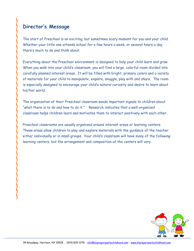# **Director's Message**

The start of Preschool is an exciting, but sometimes scary moment for you and your child. Whether your little one attends school for a few hours a week, or several hours a day, there's much to do and think about.

Everything about the Preschool environment is designed to help your child learn and grow. When you walk into your child's classroom, you will find a large, colorful room divided into carefully planned interest areas. It will be filled with bright, primary colors and a variety of materials for your child to manipulate, explore, snuggle, play with and share. The room is especially designed to encourage your child's natural curiosity and desire to learn about his/her world.

The organization of their Preschool classroom sends important signals to children about "what there is to do and how to do it." Research indicates that a well-organized classroom helps children learn and motivates them to interact positively with each other.

Preschool classrooms are usually organized around interest areas or learning centers. These areas allow children to play and explore materials with the guidance of the teacher either individually or in small groups. Your child's classroom will have many of the following learning centers, but the arrangement and composition of the centers will vary.

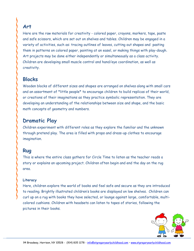## **Art**

Here are the raw materials for creativity - colored paper, crayons, markers, tape, paste and safe scissors, which are set out on shelves and tables. Children may be engaged in a variety of activities, such as: tracing outlines of leaves, cutting out shapes and pasting them in patterns on colored paper, painting at an easel, or making things with play-dough. Art projects may be done either independently or simultaneously as a class activity. Children are developing small muscle control and hand/eye coordination, as well as creativity.

# **Blocks**

Wooden blocks of different sizes and shapes are arranged on shelves along with small cars and an assortment of \*little people\* to encourage children to build replicas of their world, or creations of their imaginations as they practice symbolic representation. They are developing an understanding of the relationships between size and shape, and the basic math concepts of geometry and numbers.

# **Dramatic Play**

Children experiment with different roles as they explore the familiar and the unknown through pretend play. The area is filled with props and dress-up clothes to encourage imagination.

# **Rug**

This is where the entire class gathers for Circle Time to listen as the teacher reads a story or explains an upcoming project. Children often begin and end the day on the rug area.

#### **Literacy**

Here, children explore the world of books and feel safe and secure as they are introduced to reading. Brightly illustrated children's books are displayed on low shelves. Children can curl up on a rug with books they have selected, or lounge against large, comfortable, multicolored cushions. Children with headsets can listen to tapes of stories, following the pictures in their books.

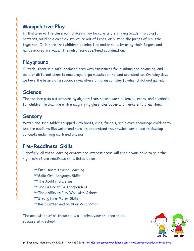# **Manipulative Play**

In this area of the classroom children may be carefully stringing beads into colorful patterns, building a complex structure out of Legos, or putting the pieces of a puzzle together. It is here that children develop fine motor skills by using their fingers and hands in creative ways. They also learn eye/hand coordination.

# **Playground**

Outside, there is a safe, enclosed area with structures for climbing and balancing, and balls of different sizes to encourage large muscle control and coordination. On rainy days we have the luxury of a spacious gym where children can play familiar childhood games.

# **Science**

The teacher puts out interesting objects from nature, such as leaves, rocks, and seashells, for children to examine with a magnifying glass, plus paper and markers to draw them.

# **Sensory**

Water and sand tables equipped with boats, cups, funnels, and sieves encourage children to explore mediums like water and sand, to understand the physical world, and to develop concepts underlying math and physics.

# **Pre-Readiness Skills**

Hopefully, all these learning centers and interest areas will enable your child to gain the right mix of pre-readiness skills listed below:

\*\*Enthusiasm Toward Learning \*\*Solid Oral-Language Skills \*\*The Ability to Listen \*\*The Desire to Be Independent \*\*The Ability to Play Well with Others \*\*Strong Fine-Motor Skills \*\*Basic Letter and Number Recognition

The acquisition of all these skills will prime your children to be successful in school.

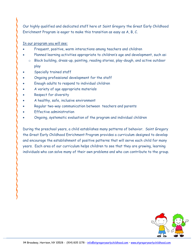Our highly qualified and dedicated staff here at Saint Gregory the Great Early Childhood Enrichment Program is eager to make this transition as easy as A, B, C.

In our program you will see:

- Frequent, positive, warm interactions among teachers and children
- Planned learning activities appropriate to children's age and development, such as:
	- o Block building, dress-up, painting, reading stories, play-dough, and active outdoor play
- Specially trained staff
- Ongoing professional development for the staff
- Enough adults to respond to individual children
- A variety of age appropriate materials
- Respect for diversity
- A healthy, safe, inclusive environment
- Regular two-way communication between teachers and parents
- Effective administration
- Ongoing, systematic evaluation of the program and individual children

During the preschool years, a child establishes many patterns of behavior. Saint Gregory the Great Early Childhood Enrichment Program provides a curriculum designed to develop and encourage the establishment of positive patterns that will serve each child for many years. Each area of our curriculum helps children to see that they are growing, learning individuals who can solve many of their own problems and who can contribute to the group.

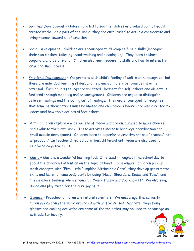- Spiritual Development Children are led to see themselves as a valued part of God's created world. As a part of the world, they are encouraged to act in a considerate and loving manner toward all of creation.
- Social Development Children are encouraged to develop self-help skills (managing their own clothes, toileting, hand-washing and cleaning up). They learn to share, cooperate and be a friend. Children also learn leadership skills and how to interact in large and small groups.
- Emotional Development We promote each child's feeling of self-worth, recognize that there are individual learning styles, and help each child strive towards his or her potential. Each child's feelings are validated. Respect for self, others and objects is fostered through modeling and encouragement. Children are urged to distinguish between feelings and the acting out of feelings. They are encouraged to recognize that some of their actions must be limited and channeled. Children are also directed to understand how their actions affect others.
- Art Children explore a wide variety of media and are encouraged to make choices and evaluate their own work. These activities increase hand-eye coordination and small muscle development. Children learn to experience creative art as a "process" not a "product." In teacher directed activities, different art media are also used to reinforce cognitive skills.
- Music Music is a wonderful learning tool. It is used throughout the school day to focus the children's attention on the topic at hand. For example: children pick up math concepts with "Five Little Pumpkins Sitting on a Gate"; they develop gross motor skills and learn to name body parts by doing "Head, Shoulders, Knees and Toes"; and they explore feelings when singing "If You're Happy and You Know It." We also sing, dance and play music for the pure joy of it.
- Science Preschool children are natural scientists. We encourage this curiosity through exploring the world around us with all five senses. Magnets, magnifying glasses and cooking activities are some of the tools that may be used to encourage an aptitude for inquiry.

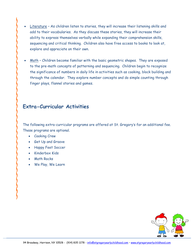- Literature As children listen to stories, they will increase their listening skills and add to their vocabularies. As they discuss these stories, they will increase their ability to express themselves verbally while expanding their comprehension skills, sequencing and critical thinking. Children also have free access to books to look at, explore and appreciate on their own.
- Math Children become familiar with the basic geometric shapes. They are exposed to the pre-math concepts of patterning and sequencing. Children begin to recognize the significance of numbers in daily life in activities such as cooking, block building and through the calendar. They explore number concepts and do simple counting through finger plays, flannel stories and games.

#### **Extra-Curricular Activities**

The following extra-curricular programs are offered at St. Gregory's for an additional fee. These programs are optional.

- Cooking Crew
- Get Up and Groove
- Happy Feet Soccer
- Kinderbox Kids
- Math Rocks
- We Play, We Learn

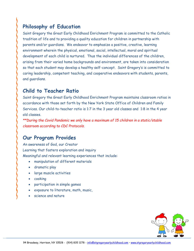# **Philosophy of Education**

Saint Gregory the Great Early Childhood Enrichment Program is committed to the Catholic tradition of life and to providing a quality education for children in partnership with parents and/or guardians. We endeavor to emphasize a positive, creative, learning environment wherein the physical, emotional, social, intellectual, moral and spiritual development of each child is nurtured. Thus the individual differences of the children, arising from their varied home backgrounds and environment, are taken into consideration so that each student may develop a healthy self-concept. Saint Gregory's is committed to caring leadership, competent teaching, and cooperative endeavors with students, parents, and guardians.

#### **Child to Teacher Ratio**

Saint Gregory the Great Early Childhood Enrichment Program maintains classroom ratios in accordance with those set forth by the New York State Office of Children and Family Services. Our child-to-teacher ratio is 1:7 in the 3 year old classes and 1:8 in the 4 year old classes.

*\*\*During the Covid Pandemic we only have a maximum of 15 children in a static/stable classroom according to CDC Protocols.*

#### **Our Program Provides**

An awareness of God, our Creator Learning that fosters exploration and inquiry Meaningful and relevant learning experiences that include:

- manipulation of different materials
- dramatic play
- large muscle activities
- cooking
- participation in simple games
- exposure to literature, math, music,
- science and nature

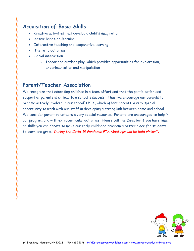# **Acquisition of Basic Skills**

- Creative activities that develop a child's imagination
- Active hands-on-learning
- Interactive teaching and cooperative learning
- Thematic activities
- Social interaction
	- o Indoor and outdoor play, which provides opportunities for exploration, experimentation and manipulation

## **Parent/Teacher Association**

We recognize that educating children is a team effort and that the participation and support of parents is critical to a school's success. Thus, we encourage our parents to become actively involved in our school's PTA, which offers parents a very special opportunity to work with our staff in developing a strong link between home and school. We consider parent volunteers a very special resource. Parents are encouraged to help in our program and with extracurricular activities. Please call the Director if you have time or skills you can donate to make our early childhood program a better place for students to learn and grow. *During the Covid-19 Pandemic PTA Meetings will be held virtually*

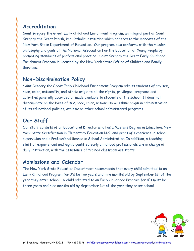## **Accreditation**

Saint Gregory the Great Early Childhood Enrichment Program, an integral part of Saint Gregory the Great Parish, is a Catholic institution which adheres to the mandates of the New York State Department of Education. Our program also conforms with the mission, philosophy and goals of the National Association For the Education of Young People by promoting standards of professional practice. Saint Gregory the Great Early Childhood Enrichment Program is licensed by the New York State Office of Children and Family Services.

#### **Non-Discrimination Policy**

Saint Gregory the Great Early Childhood Enrichment Program admits students of any sex, race, color, nationality, and ethnic origin to all the rights, privileges, programs and activities generally accorded or made available to students at the school. It does not discriminate on the basis of sex, race, color, nationality or ethnic origin in administration of its educational policies, athletic or other school administered programs.

# **Our Staff**

Our staff consists of an Educational Director who has a Masters Degree in Education, New York State Certification in Elementary Education N-9, and years of experience in school supervision and a Professional license in School Administration. In addition, a teaching staff of experienced and highly qualified early childhood professionals are in charge of daily instruction, with the assistance of trained classroom assistants.

#### **Admissions and Calendar**

The New York State Education Department recommends that every child admitted to an Early Childhood Program for 3's be two years and nine months old by September 1st of the year they enter school. A child admitted to an Early Childhood Program for 4's must be three years and nine months old by September 1st of the year they enter school.

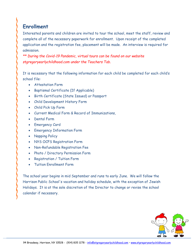# **Enrollment**

Interested parents and children are invited to tour the school, meet the staff, review and complete all of the necessary paperwork for enrollment. Upon receipt of the completed application and the registration fee, placement will be made. An interview is required for admission.

*\*\* During the Covid-19 Pandemic, virtual tours can be found on our website stgregoryearlychildhood.com under the Teachers Tab.*

It is necessary that the following information for each child be completed for each child's school file:

- Attestation Form
- Baptismal Certificate (If Applicable)
- Birth Certificate (State Issued) or Passport
- Child Development History Form
- Child Pick Up Form
- Current Medical Form & Record of Immunizations,
- Dental Form
- Emergency Card
- Emergency Information Form
- Napping Policy
- NYS OCFS Registration Form
- Non-Refundable Registration Fee
- Photo / Directory Permission Form
- Registration / Tuition Form
- Tuition Enrollment Form

The school year begins in mid September and runs to early June. We will follow the Harrison Public School's vacation and holiday schedule, with the exception of Jewish Holidays. It is at the sole discretion of the Director to change or revise the school calendar if necessary.

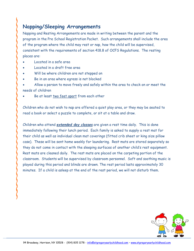# **Napping/Sleeping Arrangements**

Napping and Resting Arrangements are made in writing between the parent and the program in the Pre School Registration Packet. Such arrangements shall include the area of the program where the child may rest or nap, how the child will be supervised, consistent with the requirements of section 418.8 of OCFS Regulations. The resting places are:

- Located in a safe area
- Located in a draft free area
- Will be where children are not stepped on
- Be in an area where egress is not blocked
- Allow a person to move freely and safely within the area to check on or meet the needs of children
- Be at least two feet apart from each other

Children who do not wish to nap are offered a quiet play area, or they may be seated to read a book or select a puzzle to complete, or sit at a table and draw.

Children who attend *extended day classes* are given a rest time daily. This is done immediately following their lunch period. Each family is asked to supply a rest mat for their child as well as individual clean mat coverings (fitted crib sheet or king size pillow case). These will be sent home weekly for laundering. Rest mats are stored separately so they do not come in contact with the sleeping surfaces of another child's rest equipment. Rest mats are cleaned daily. The rest mats are placed on the carpeting portion of the classroom. Students will be supervised by classroom personnel. Soft and soothing music is played during this period and blinds are drawn. The rest period lasts approximately 30 minutes. If a child is asleep at the end of the rest period, we will not disturb them.

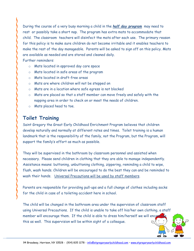During the course of a very busy morning a child in the *half day program* may need to rest or possibly take a short nap. The program has extra mats to accommodate that child. The classroom teachers will disinfect the mats after each use. The primary reason for this policy is to make sure children do not become irritable and it enables teachers to make the rest of the day manageable. Parents will be asked to sign off on this policy. Mats are available as needed and are stored and cleaned daily.

Further reminders:

- o Mats located in approved day care space
- o Mats located in safe areas of the program
- o Mats located in draft-free areas
- o Mats are where children will not be stepped on
- o Mats are in a location where safe egress is not blocked
- o Mats are placed so that a staff member can move freely and safely with the napping area in order to check on or meet the needs of children.
- o Mats placed head to toe.

#### **Toilet Training**

Saint Gregory the Great Early Childhood Enrichment Program believes that children develop naturally and normally at different rates and times. Toilet training is a human landmark that is the responsibility of the family, not the Program, but the Program, will support the family's effort as much as possible.

They will be supervised in the bathroom by classroom personnel and assisted when necessary. Please send children in clothing that they are able to manage independently. Assistance means: buttoning, unbuttoning clothing, zippering, reminding a child to wipe, flush, wash hands. Children will be encouraged to do the best they can and be reminded to wash their hands. Universal Precautions will be used by staff members.

Parents are responsible for providing pull-ups and a full change of clothes including socks for the child in case of a toileting accident here in school.

The child will be changed in the bathroom area under the supervision of classroom staff using Universal Precautions. If the child is unable to take off his/her own clothing, a staff member will encourage them. If the child is able to dress him/herself we will encourage them. this as well. This supervision will be within sight of a colleague.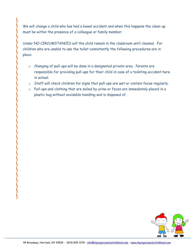We will change a child who has had a bowel accident and when this happens the clean-up must be within the presence of a colleague or family member.

Under NO CIRCUMSTANCES will the child remain in the classroom until cleaned. For children who are unable to use the toilet consistently the following procedures are in place:

- o Changing of pull-ups will be done in a designated private area. Parents are responsible for providing pull-ups for their child in case of a toileting accident here in school.
- o Staff will check children for signs that pull-ups are wet or contain feces regularly.
- o Pull-ups and clothing that are soiled by urine or feces are immediately placed in a plastic bag without avoidable handling and is disposed of.

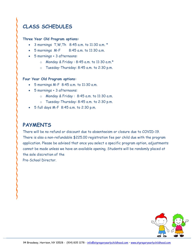# **CLASS SCHEDULES**

#### **Three Year Old Program options:**

- 3 mornings  $T.W$ , Th  $8:45$  a.m. to 11:30 a.m. \*
- $\bullet$  5 mornings M-F  $\qquad$  8:45 a.m. to 11:30 a.m.
- 5 mornings + 3 afternoons:
	- o Monday & Friday : 8:45 a.m. to 11:30 a.m.\*
	- o Tuesday-Thursday: 8:45 a.m. to 2:30 p.m.

#### **Four Year Old Program options:**

- 5 mornings M-F 8:45 a.m. to 11:30 a.m.
- 5 mornings + 3 afternoons:
	- $\circ$  Monday & Friday: 8:45 a.m. to 11:30 a.m.
	- o Tuesday-Thursday: 8:45 a.m. to 2:30 p.m.
- 5 full days M-F 8:45 a.m. to 2:30 p.m.

# **PAYMENTS**

There will be no refund or discount due to absenteeism or closure due to COVID-19. There is also a non-refundable \$225.00 registration fee per child due with the program application. Please be advised that once you select a specific program option, adjustments cannot be made unless we have an available opening. Students will be randomly placed at the sole discretion of the

Pre-School Director.

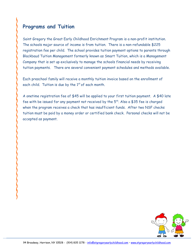# **Programs and Tuition**

Saint Gregory the Great Early Childhood Enrichment Program is a non-profit institution. The schools major source of income is from tuition. There is a non-refundable \$225 registration fee per child. The school provides tuition payment options to parents through Blackbaud Tuition Management formerly known as Smart Tuition, which is a Management Company that is set up exclusively to manage the schools financial needs by receiving tuition payments. There are several convenient payment schedules and methods available.

Each preschool family will receive a monthly tuition invoice based on the enrollment of each child. Tuition is due by the  $1<sup>st</sup>$  of each month.

A onetime registration fee of \$45 will be applied to your first tuition payment. A \$40 late fee with be issued for any payment not received by the  $5<sup>th</sup>$ . Also a \$35 fee is charged when the program receives a check that has insufficient funds. After two NSF checks tuition must be paid by a money order or certified bank check. Personal checks will not be accepted as payment.

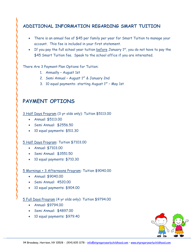#### **ADDITIONAL INFORMATION REGARDING SMART TUITION**

- There is an annual fee of \$45 per family per year for Smart Tuition to manage your account. This fee is included in your first statement.
- If you pay the full school year tuition  $before$  January  $1<sup>st</sup>$ , you do not have to pay the \$45 Smart Tuition fee. Speak to the school office if you are interested.

There Are 3 Payment Plan Options for Tuition:

- 1. Annually August 1st
- 2. Semi Annual August  $1<sup>st</sup>$  & January 2nd
- 3. 10 equal payments- starting August  $1<sup>st</sup>$  May 1st

## **PAYMENT OPTIONS**

3 Half Days Program (3 yr olds only): Tuition \$5113.00

- Annual: \$5113.00
- Semi Annual: \$2556.50
- 10 equal payments: \$511.30

#### 5 Half Days Program: Tuition \$7103.00

- Annual: \$7103.00
- Semi Annual: \$3551.50
- 10 equal payments: \$710.30

#### 5 Mornings + 3 Afternoons Program: Tuition \$9040.00

- Annual: \$9040.00
- Semi Annual: 4520.00
- 10 equal payments: \$904.00

#### 5 Full Days Program (4 yr olds only): Tuition \$9794.00

- Annual: \$9794.00
- Semi Annual: \$4897.00
- 10 equal payments: \$979.40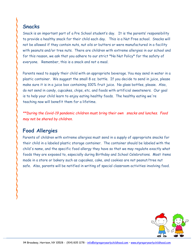## **Snacks**

Snack is an important part of a Pre School student's day. It is the parents' responsibility to provide a healthy snack for their child each day. This is a Nut Free school. Snacks will not be allowed if they contain nuts, nut oils or butters or were manufactured in a facility with peanuts and/or tree nuts. There are children with extreme allergies in our school and for this reason, we ask that you adhere to our strict \*No Nut Policy\* for the safety of everyone. Remember, this is a snack and not a meal.

Parents need to supply their child with an appropriate beverage. You may send in water in a plastic container. We suggest the small 8 oz. bottle. If you decide to send in juice, please make sure it is in a juice box containing 100% fruit juice. No glass bottles, please. Also, do not send in candy, cupcakes, chips, etc. and foods with artificial sweeteners. Our goal is to help your child learn to enjoy eating healthy foods. The healthy eating we're teaching now will benefit them for a lifetime.

*\*\*During the Covid-19 pandemic children must bring their own snacks and lunches. Food may not be shared by children.*

# **Food Allergies**

Parents of children with extreme allergies must send in a supply of appropriate snacks for their child in a labeled plastic storage container. The container should be labeled with the child's name, and the specific food allergy they have so that we may regulate exactly what foods they are exposed to, especially during Birthday and School Celebrations. Most items made in a store or bakery such as cupcakes, cake, and cookies are not peanut/tree nut safe. Also, parents will be notified in writing of special classroom activities involving food.